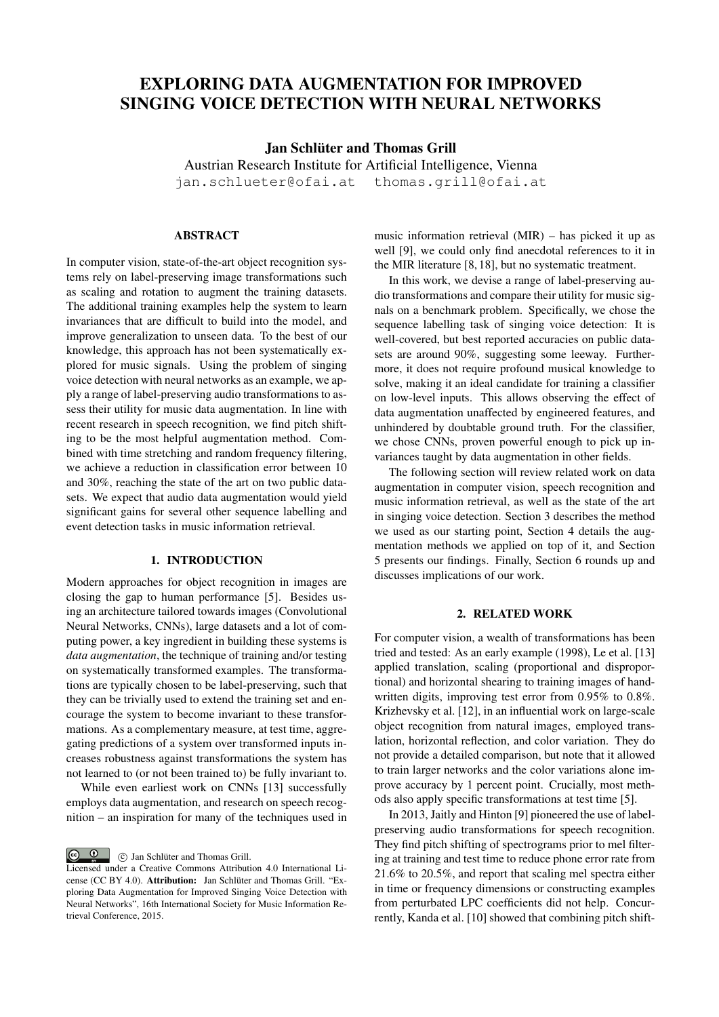# EXPLORING DATA AUGMENTATION FOR IMPROVED SINGING VOICE DETECTION WITH NEURAL NETWORKS

Jan Schlüter and Thomas Grill

Austrian Research Institute for Artificial Intelligence, Vienna jan.schlueter@ofai.at thomas.grill@ofai.at

# ABSTRACT

In computer vision, state-of-the-art object recognition systems rely on label-preserving image transformations such as scaling and rotation to augment the training datasets. The additional training examples help the system to learn invariances that are difficult to build into the model, and improve generalization to unseen data. To the best of our knowledge, this approach has not been systematically explored for music signals. Using the problem of singing voice detection with neural networks as an example, we apply a range of label-preserving audio transformations to assess their utility for music data augmentation. In line with recent research in speech recognition, we find pitch shifting to be the most helpful augmentation method. Combined with time stretching and random frequency filtering, we achieve a reduction in classification error between 10 and 30%, reaching the state of the art on two public datasets. We expect that audio data augmentation would yield significant gains for several other sequence labelling and event detection tasks in music information retrieval.

## 1. INTRODUCTION

Modern approaches for object recognition in images are closing the gap to human performance [5]. Besides using an architecture tailored towards images (Convolutional Neural Networks, CNNs), large datasets and a lot of computing power, a key ingredient in building these systems is *data augmentation*, the technique of training and/or testing on systematically transformed examples. The transformations are typically chosen to be label-preserving, such that they can be trivially used to extend the training set and encourage the system to become invariant to these transformations. As a complementary measure, at test time, aggregating predictions of a system over transformed inputs increases robustness against transformations the system has not learned to (or not been trained to) be fully invariant to.

While even earliest work on CNNs [13] successfully employs data augmentation, and research on speech recognition – an inspiration for many of the techniques used in

**c c** Jan Schlüter and Thomas Grill.

music information retrieval (MIR) – has picked it up as well [9], we could only find anecdotal references to it in the MIR literature [8, 18], but no systematic treatment.

In this work, we devise a range of label-preserving audio transformations and compare their utility for music signals on a benchmark problem. Specifically, we chose the sequence labelling task of singing voice detection: It is well-covered, but best reported accuracies on public datasets are around 90%, suggesting some leeway. Furthermore, it does not require profound musical knowledge to solve, making it an ideal candidate for training a classifier on low-level inputs. This allows observing the effect of data augmentation unaffected by engineered features, and unhindered by doubtable ground truth. For the classifier, we chose CNNs, proven powerful enough to pick up invariances taught by data augmentation in other fields.

The following section will review related work on data augmentation in computer vision, speech recognition and music information retrieval, as well as the state of the art in singing voice detection. Section 3 describes the method we used as our starting point, Section 4 details the augmentation methods we applied on top of it, and Section 5 presents our findings. Finally, Section 6 rounds up and discusses implications of our work.

## 2. RELATED WORK

For computer vision, a wealth of transformations has been tried and tested: As an early example (1998), Le et al. [13] applied translation, scaling (proportional and disproportional) and horizontal shearing to training images of handwritten digits, improving test error from 0.95% to 0.8%. Krizhevsky et al. [12], in an influential work on large-scale object recognition from natural images, employed translation, horizontal reflection, and color variation. They do not provide a detailed comparison, but note that it allowed to train larger networks and the color variations alone improve accuracy by 1 percent point. Crucially, most methods also apply specific transformations at test time [5].

In 2013, Jaitly and Hinton [9] pioneered the use of labelpreserving audio transformations for speech recognition. They find pitch shifting of spectrograms prior to mel filtering at training and test time to reduce phone error rate from 21.6% to 20.5%, and report that scaling mel spectra either in time or frequency dimensions or constructing examples from perturbated LPC coefficients did not help. Concurrently, Kanda et al. [10] showed that combining pitch shift-

Licensed under a Creative Commons Attribution 4.0 International License (CC BY 4.0). Attribution: Jan Schlüter and Thomas Grill. "Exploring Data Augmentation for Improved Singing Voice Detection with Neural Networks", 16th International Society for Music Information Retrieval Conference, 2015.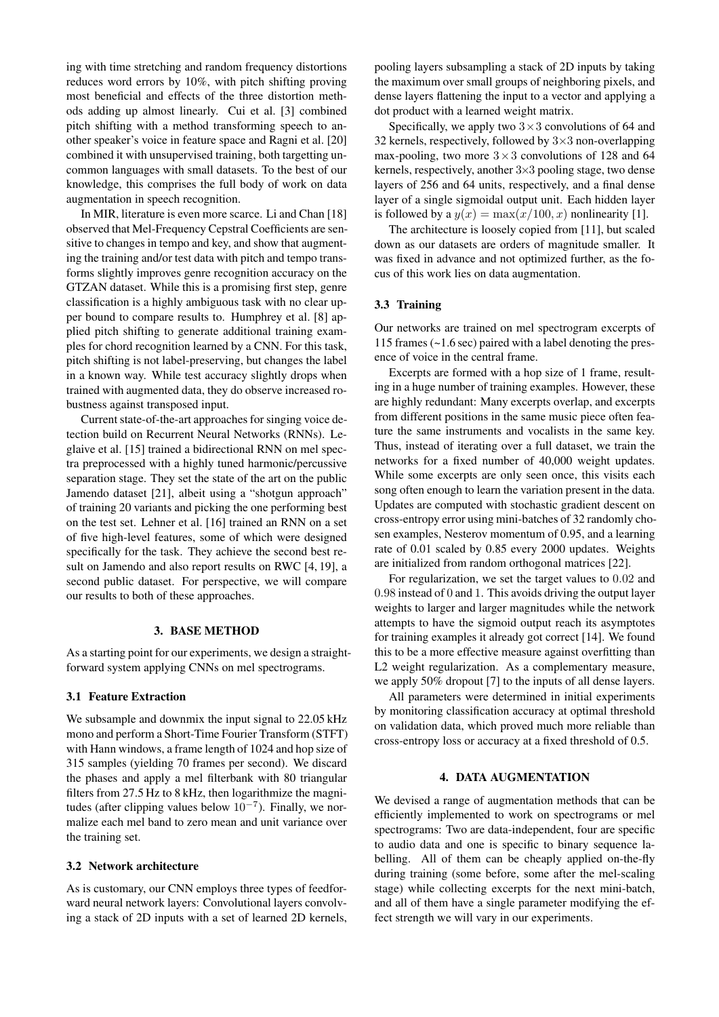ing with time stretching and random frequency distortions reduces word errors by 10%, with pitch shifting proving most beneficial and effects of the three distortion methods adding up almost linearly. Cui et al. [3] combined pitch shifting with a method transforming speech to another speaker's voice in feature space and Ragni et al. [20] combined it with unsupervised training, both targetting uncommon languages with small datasets. To the best of our knowledge, this comprises the full body of work on data augmentation in speech recognition.

In MIR, literature is even more scarce. Li and Chan [18] observed that Mel-Frequency Cepstral Coefficients are sensitive to changes in tempo and key, and show that augmenting the training and/or test data with pitch and tempo transforms slightly improves genre recognition accuracy on the GTZAN dataset. While this is a promising first step, genre classification is a highly ambiguous task with no clear upper bound to compare results to. Humphrey et al. [8] applied pitch shifting to generate additional training examples for chord recognition learned by a CNN. For this task, pitch shifting is not label-preserving, but changes the label in a known way. While test accuracy slightly drops when trained with augmented data, they do observe increased robustness against transposed input.

Current state-of-the-art approaches for singing voice detection build on Recurrent Neural Networks (RNNs). Leglaive et al. [15] trained a bidirectional RNN on mel spectra preprocessed with a highly tuned harmonic/percussive separation stage. They set the state of the art on the public Jamendo dataset [21], albeit using a "shotgun approach" of training 20 variants and picking the one performing best on the test set. Lehner et al. [16] trained an RNN on a set of five high-level features, some of which were designed specifically for the task. They achieve the second best result on Jamendo and also report results on RWC [4, 19], a second public dataset. For perspective, we will compare our results to both of these approaches.

#### 3. BASE METHOD

As a starting point for our experiments, we design a straightforward system applying CNNs on mel spectrograms.

## 3.1 Feature Extraction

We subsample and downmix the input signal to 22.05 kHz mono and perform a Short-Time Fourier Transform (STFT) with Hann windows, a frame length of 1024 and hop size of 315 samples (yielding 70 frames per second). We discard the phases and apply a mel filterbank with 80 triangular filters from 27.5 Hz to 8 kHz, then logarithmize the magnitudes (after clipping values below  $10^{-7}$ ). Finally, we normalize each mel band to zero mean and unit variance over the training set.

## 3.2 Network architecture

As is customary, our CNN employs three types of feedforward neural network layers: Convolutional layers convolving a stack of 2D inputs with a set of learned 2D kernels, pooling layers subsampling a stack of 2D inputs by taking the maximum over small groups of neighboring pixels, and dense layers flattening the input to a vector and applying a dot product with a learned weight matrix.

Specifically, we apply two  $3 \times 3$  convolutions of 64 and 32 kernels, respectively, followed by  $3\times3$  non-overlapping max-pooling, two more  $3 \times 3$  convolutions of 128 and 64 kernels, respectively, another 3×3 pooling stage, two dense layers of 256 and 64 units, respectively, and a final dense layer of a single sigmoidal output unit. Each hidden layer is followed by a  $y(x) = \max(x/100, x)$  nonlinearity [1].

The architecture is loosely copied from [11], but scaled down as our datasets are orders of magnitude smaller. It was fixed in advance and not optimized further, as the focus of this work lies on data augmentation.

#### 3.3 Training

Our networks are trained on mel spectrogram excerpts of 115 frames (~1.6 sec) paired with a label denoting the presence of voice in the central frame.

Excerpts are formed with a hop size of 1 frame, resulting in a huge number of training examples. However, these are highly redundant: Many excerpts overlap, and excerpts from different positions in the same music piece often feature the same instruments and vocalists in the same key. Thus, instead of iterating over a full dataset, we train the networks for a fixed number of 40,000 weight updates. While some excerpts are only seen once, this visits each song often enough to learn the variation present in the data. Updates are computed with stochastic gradient descent on cross-entropy error using mini-batches of 32 randomly chosen examples, Nesterov momentum of 0.95, and a learning rate of 0.01 scaled by 0.85 every 2000 updates. Weights are initialized from random orthogonal matrices [22].

For regularization, we set the target values to 0.02 and 0.98 instead of 0 and 1. This avoids driving the output layer weights to larger and larger magnitudes while the network attempts to have the sigmoid output reach its asymptotes for training examples it already got correct [14]. We found this to be a more effective measure against overfitting than L2 weight regularization. As a complementary measure, we apply 50% dropout [7] to the inputs of all dense layers.

All parameters were determined in initial experiments by monitoring classification accuracy at optimal threshold on validation data, which proved much more reliable than cross-entropy loss or accuracy at a fixed threshold of 0.5.

## 4. DATA AUGMENTATION

We devised a range of augmentation methods that can be efficiently implemented to work on spectrograms or mel spectrograms: Two are data-independent, four are specific to audio data and one is specific to binary sequence labelling. All of them can be cheaply applied on-the-fly during training (some before, some after the mel-scaling stage) while collecting excerpts for the next mini-batch, and all of them have a single parameter modifying the effect strength we will vary in our experiments.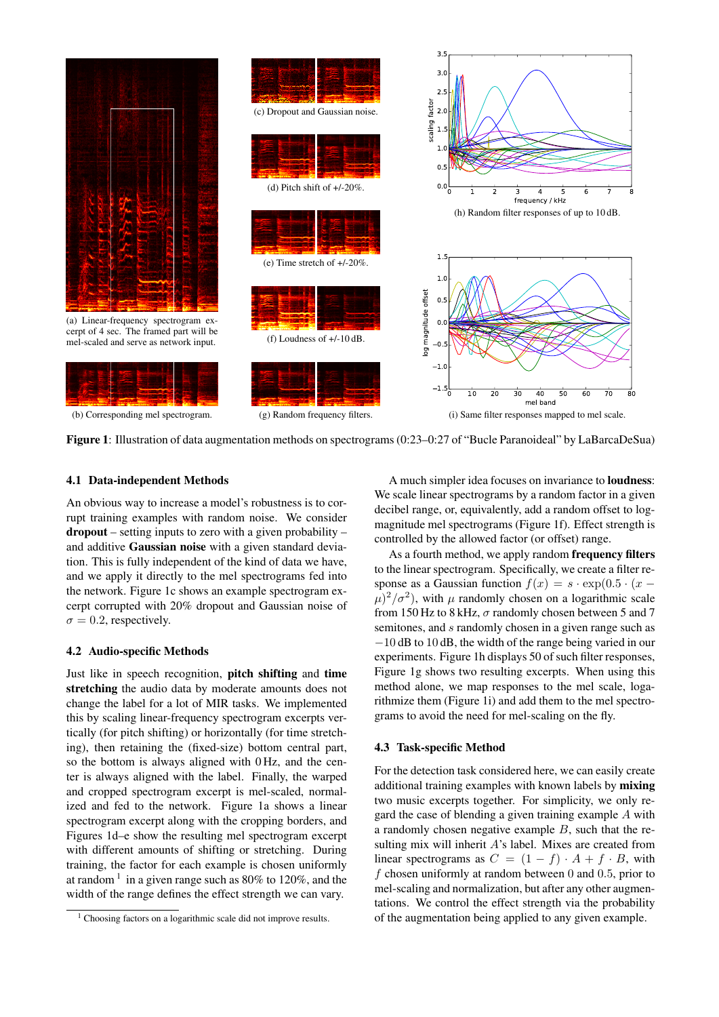

Figure 1: Illustration of data augmentation methods on spectrograms (0:23–0:27 of "Bucle Paranoideal" by LaBarcaDeSua)

#### 4.1 Data-independent Methods

An obvious way to increase a model's robustness is to corrupt training examples with random noise. We consider dropout – setting inputs to zero with a given probability – and additive Gaussian noise with a given standard deviation. This is fully independent of the kind of data we have, and we apply it directly to the mel spectrograms fed into the network. Figure 1c shows an example spectrogram excerpt corrupted with 20% dropout and Gaussian noise of  $\sigma = 0.2$ , respectively.

## 4.2 Audio-specific Methods

Just like in speech recognition, pitch shifting and time stretching the audio data by moderate amounts does not change the label for a lot of MIR tasks. We implemented this by scaling linear-frequency spectrogram excerpts vertically (for pitch shifting) or horizontally (for time stretching), then retaining the (fixed-size) bottom central part, so the bottom is always aligned with 0 Hz, and the center is always aligned with the label. Finally, the warped and cropped spectrogram excerpt is mel-scaled, normalized and fed to the network. Figure 1a shows a linear spectrogram excerpt along with the cropping borders, and Figures 1d–e show the resulting mel spectrogram excerpt with different amounts of shifting or stretching. During training, the factor for each example is chosen uniformly at random  $1$  in a given range such as 80% to 120%, and the width of the range defines the effect strength we can vary.

A much simpler idea focuses on invariance to loudness: We scale linear spectrograms by a random factor in a given decibel range, or, equivalently, add a random offset to logmagnitude mel spectrograms (Figure 1f). Effect strength is controlled by the allowed factor (or offset) range.

As a fourth method, we apply random frequency filters to the linear spectrogram. Specifically, we create a filter response as a Gaussian function  $f(x) = s \cdot \exp(0.5 \cdot (x (\mu)^2/\sigma^2$ ), with  $\mu$  randomly chosen on a logarithmic scale from 150 Hz to 8 kHz,  $\sigma$  randomly chosen between 5 and 7 semitones, and s randomly chosen in a given range such as −10 dB to 10 dB, the width of the range being varied in our experiments. Figure 1h displays 50 of such filter responses, Figure 1g shows two resulting excerpts. When using this method alone, we map responses to the mel scale, logarithmize them (Figure 1i) and add them to the mel spectrograms to avoid the need for mel-scaling on the fly.

## 4.3 Task-specific Method

For the detection task considered here, we can easily create additional training examples with known labels by mixing two music excerpts together. For simplicity, we only regard the case of blending a given training example A with a randomly chosen negative example B, such that the resulting mix will inherit A's label. Mixes are created from linear spectrograms as  $C = (1 - f) \cdot A + f \cdot B$ , with f chosen uniformly at random between  $0$  and  $0.5$ , prior to mel-scaling and normalization, but after any other augmentations. We control the effect strength via the probability of the augmentation being applied to any given example.

<sup>&</sup>lt;sup>1</sup> Choosing factors on a logarithmic scale did not improve results.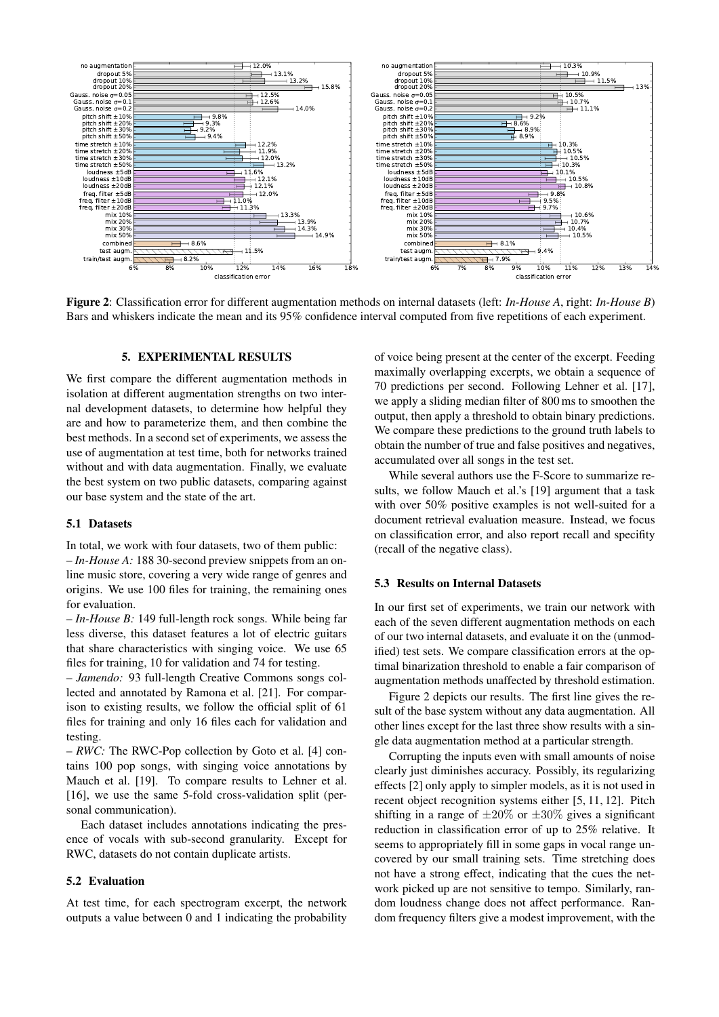

Figure 2: Classification error for different augmentation methods on internal datasets (left: *In-House A*, right: *In-House B*) Bars and whiskers indicate the mean and its 95% confidence interval computed from five repetitions of each experiment.

## 5. EXPERIMENTAL RESULTS

We first compare the different augmentation methods in isolation at different augmentation strengths on two internal development datasets, to determine how helpful they are and how to parameterize them, and then combine the best methods. In a second set of experiments, we assess the use of augmentation at test time, both for networks trained without and with data augmentation. Finally, we evaluate the best system on two public datasets, comparing against our base system and the state of the art.

#### 5.1 Datasets

In total, we work with four datasets, two of them public:

– *In-House A:* 188 30-second preview snippets from an online music store, covering a very wide range of genres and origins. We use 100 files for training, the remaining ones for evaluation.

– *In-House B:* 149 full-length rock songs. While being far less diverse, this dataset features a lot of electric guitars that share characteristics with singing voice. We use 65 files for training, 10 for validation and 74 for testing.

– *Jamendo:* 93 full-length Creative Commons songs collected and annotated by Ramona et al. [21]. For comparison to existing results, we follow the official split of 61 files for training and only 16 files each for validation and testing.

– *RWC:* The RWC-Pop collection by Goto et al. [4] contains 100 pop songs, with singing voice annotations by Mauch et al. [19]. To compare results to Lehner et al. [16], we use the same 5-fold cross-validation split (personal communication).

Each dataset includes annotations indicating the presence of vocals with sub-second granularity. Except for RWC, datasets do not contain duplicate artists.

## 5.2 Evaluation

At test time, for each spectrogram excerpt, the network outputs a value between 0 and 1 indicating the probability of voice being present at the center of the excerpt. Feeding maximally overlapping excerpts, we obtain a sequence of 70 predictions per second. Following Lehner et al. [17], we apply a sliding median filter of 800 ms to smoothen the output, then apply a threshold to obtain binary predictions. We compare these predictions to the ground truth labels to obtain the number of true and false positives and negatives, accumulated over all songs in the test set.

While several authors use the F-Score to summarize results, we follow Mauch et al.'s [19] argument that a task with over 50% positive examples is not well-suited for a document retrieval evaluation measure. Instead, we focus on classification error, and also report recall and specifity (recall of the negative class).

#### 5.3 Results on Internal Datasets

In our first set of experiments, we train our network with each of the seven different augmentation methods on each of our two internal datasets, and evaluate it on the (unmodified) test sets. We compare classification errors at the optimal binarization threshold to enable a fair comparison of augmentation methods unaffected by threshold estimation.

Figure 2 depicts our results. The first line gives the result of the base system without any data augmentation. All other lines except for the last three show results with a single data augmentation method at a particular strength.

Corrupting the inputs even with small amounts of noise clearly just diminishes accuracy. Possibly, its regularizing effects [2] only apply to simpler models, as it is not used in recent object recognition systems either [5, 11, 12]. Pitch shifting in a range of  $\pm 20\%$  or  $\pm 30\%$  gives a significant reduction in classification error of up to 25% relative. It seems to appropriately fill in some gaps in vocal range uncovered by our small training sets. Time stretching does not have a strong effect, indicating that the cues the network picked up are not sensitive to tempo. Similarly, random loudness change does not affect performance. Random frequency filters give a modest improvement, with the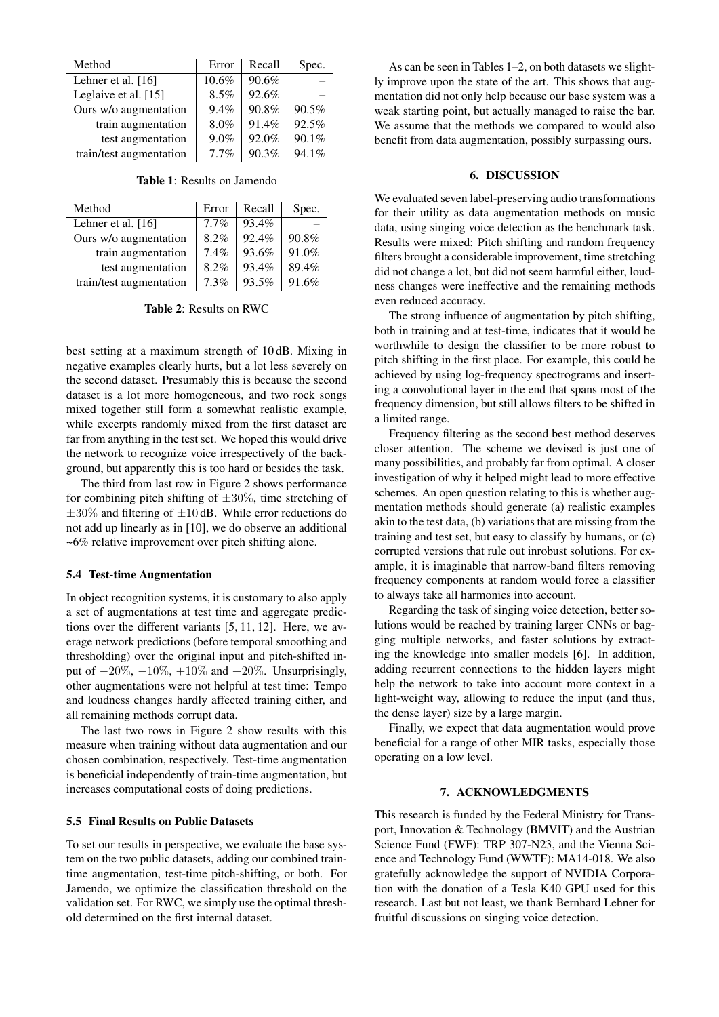| Method                  | Error    | Recall | Spec. |
|-------------------------|----------|--------|-------|
| Lehner et al. [16]      | $10.6\%$ | 90.6%  |       |
| Leglaive et al. [15]    | 8.5%     | 92.6%  |       |
| Ours w/o augmentation   | $9.4\%$  | 90.8%  | 90.5% |
| train augmentation      | 8.0%     | 91.4%  | 92.5% |
| test augmentation       | $9.0\%$  | 92.0%  | 90.1% |
| train/test augmentation | 7.7%     | 90.3%  | 94.1% |

Table 1: Results on Jamendo

| Method                  | Error   | Recall | Spec. |
|-------------------------|---------|--------|-------|
| Lehner et al. [16]      | $7.7\%$ | 93.4%  |       |
| Ours w/o augmentation   | 8.2%    | 92.4%  | 90.8% |
| train augmentation      | 7.4%    | 93.6%  | 91.0% |
| test augmentation       | 8.2%    | 93.4%  | 89.4% |
| train/test augmentation | 7.3%    | 93.5%  | 91.6% |

Table 2: Results on RWC

best setting at a maximum strength of 10 dB. Mixing in negative examples clearly hurts, but a lot less severely on the second dataset. Presumably this is because the second dataset is a lot more homogeneous, and two rock songs mixed together still form a somewhat realistic example, while excerpts randomly mixed from the first dataset are far from anything in the test set. We hoped this would drive the network to recognize voice irrespectively of the background, but apparently this is too hard or besides the task.

The third from last row in Figure 2 shows performance for combining pitch shifting of  $\pm 30\%$ , time stretching of  $\pm 30\%$  and filtering of  $\pm 10$  dB. While error reductions do not add up linearly as in [10], we do observe an additional ~6% relative improvement over pitch shifting alone.

## 5.4 Test-time Augmentation

In object recognition systems, it is customary to also apply a set of augmentations at test time and aggregate predictions over the different variants [5, 11, 12]. Here, we average network predictions (before temporal smoothing and thresholding) over the original input and pitch-shifted input of  $-20\%, -10\%, +10\%$  and  $+20\%$ . Unsurprisingly, other augmentations were not helpful at test time: Tempo and loudness changes hardly affected training either, and all remaining methods corrupt data.

The last two rows in Figure 2 show results with this measure when training without data augmentation and our chosen combination, respectively. Test-time augmentation is beneficial independently of train-time augmentation, but increases computational costs of doing predictions.

#### 5.5 Final Results on Public Datasets

To set our results in perspective, we evaluate the base system on the two public datasets, adding our combined traintime augmentation, test-time pitch-shifting, or both. For Jamendo, we optimize the classification threshold on the validation set. For RWC, we simply use the optimal threshold determined on the first internal dataset.

As can be seen in Tables 1–2, on both datasets we slightly improve upon the state of the art. This shows that augmentation did not only help because our base system was a weak starting point, but actually managed to raise the bar. We assume that the methods we compared to would also benefit from data augmentation, possibly surpassing ours.

#### 6. DISCUSSION

We evaluated seven label-preserving audio transformations for their utility as data augmentation methods on music data, using singing voice detection as the benchmark task. Results were mixed: Pitch shifting and random frequency filters brought a considerable improvement, time stretching did not change a lot, but did not seem harmful either, loudness changes were ineffective and the remaining methods even reduced accuracy.

The strong influence of augmentation by pitch shifting, both in training and at test-time, indicates that it would be worthwhile to design the classifier to be more robust to pitch shifting in the first place. For example, this could be achieved by using log-frequency spectrograms and inserting a convolutional layer in the end that spans most of the frequency dimension, but still allows filters to be shifted in a limited range.

Frequency filtering as the second best method deserves closer attention. The scheme we devised is just one of many possibilities, and probably far from optimal. A closer investigation of why it helped might lead to more effective schemes. An open question relating to this is whether augmentation methods should generate (a) realistic examples akin to the test data, (b) variations that are missing from the training and test set, but easy to classify by humans, or (c) corrupted versions that rule out inrobust solutions. For example, it is imaginable that narrow-band filters removing frequency components at random would force a classifier to always take all harmonics into account.

Regarding the task of singing voice detection, better solutions would be reached by training larger CNNs or bagging multiple networks, and faster solutions by extracting the knowledge into smaller models [6]. In addition, adding recurrent connections to the hidden layers might help the network to take into account more context in a light-weight way, allowing to reduce the input (and thus, the dense layer) size by a large margin.

Finally, we expect that data augmentation would prove beneficial for a range of other MIR tasks, especially those operating on a low level.

#### 7. ACKNOWLEDGMENTS

This research is funded by the Federal Ministry for Transport, Innovation & Technology (BMVIT) and the Austrian Science Fund (FWF): TRP 307-N23, and the Vienna Science and Technology Fund (WWTF): MA14-018. We also gratefully acknowledge the support of NVIDIA Corporation with the donation of a Tesla K40 GPU used for this research. Last but not least, we thank Bernhard Lehner for fruitful discussions on singing voice detection.